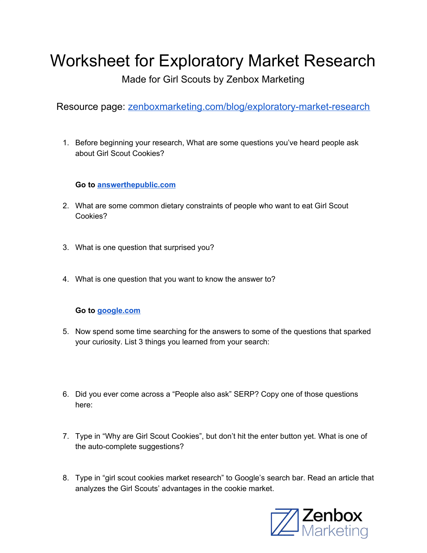# Worksheet for Exploratory Market Research

Made for Girl Scouts by Zenbox Marketing

Resource page: [zenboxmarketing.com/blog/exploratory-market-research](http://zenboxmarketing.com/blog/exploratory-market-research)

1. Before beginning your research, What are some questions you've heard people ask about Girl Scout Cookies?

**Go to [answerthepublic.com](https://answerthepublic.com/)**

- 2. What are some common dietary constraints of people who want to eat Girl Scout Cookies?
- 3. What is one question that surprised you?
- 4. What is one question that you want to know the answer to?

#### **Go to [google.com](https://www.google.com/)**

- 5. Now spend some time searching for the answers to some of the questions that sparked your curiosity. List 3 things you learned from your search:
- 6. Did you ever come across a "People also ask" SERP? Copy one of those questions here:
- 7. Type in "Why are Girl Scout Cookies", but don't hit the enter button yet. What is one of the auto-complete suggestions?
- 8. Type in "girl scout cookies market research" to Google's search bar. Read an article that analyzes the Girl Scouts' advantages in the cookie market.